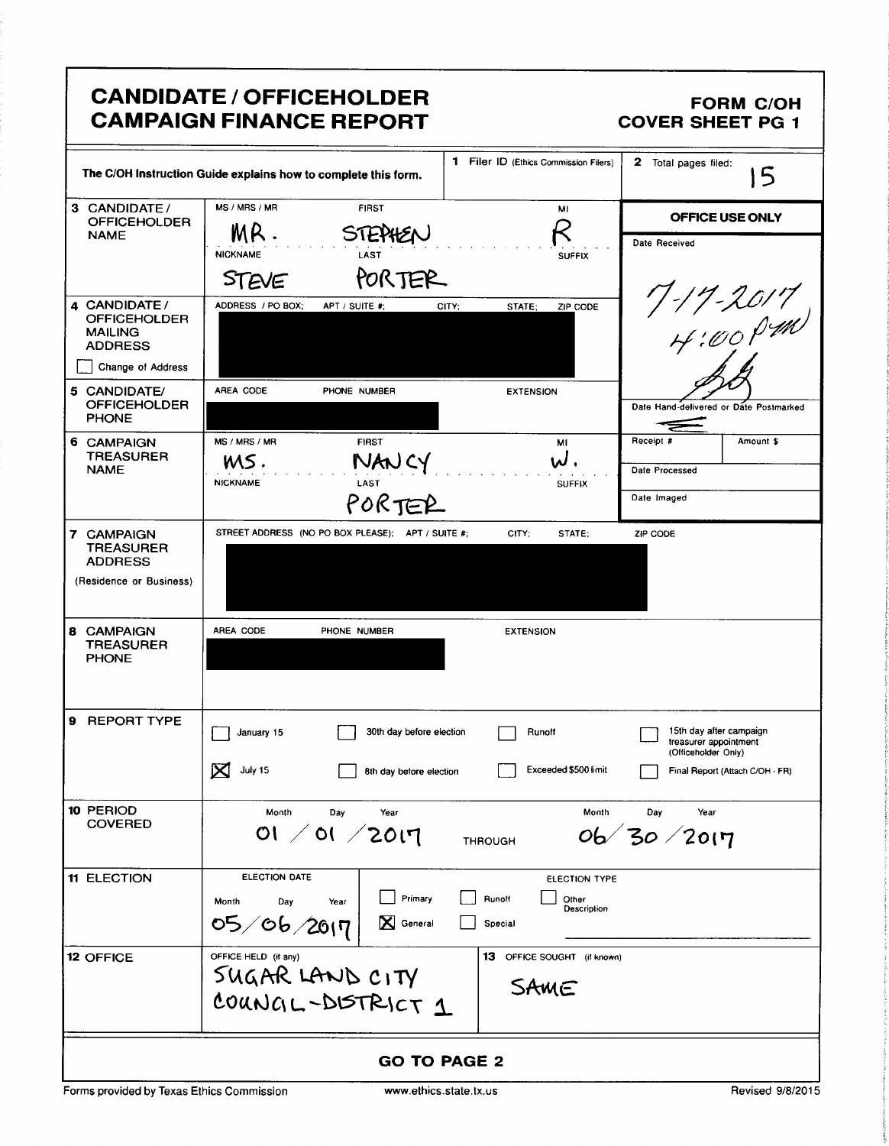|                                                                                                                                                                                       | <b>CANDIDATE / OFFICEHOLDER</b><br><b>CAMPAIGN FINANCE REPORT</b>                                                           |                                                                   | <b>FORM C/OH</b><br><b>COVER SHEET PG 1</b>                                                                |
|---------------------------------------------------------------------------------------------------------------------------------------------------------------------------------------|-----------------------------------------------------------------------------------------------------------------------------|-------------------------------------------------------------------|------------------------------------------------------------------------------------------------------------|
|                                                                                                                                                                                       | The C/OH Instruction Guide explains how to complete this form.                                                              | 1 Filer ID (Ethics Commission Filers)                             | 2 Total pages filed:<br>5                                                                                  |
| 3 CANDIDATE/<br><b>OFFICEHOLDER</b><br><b>NAME</b>                                                                                                                                    | MS / MRS / MR<br><b>FIRST</b><br>MR.<br><b>STEPHE</b><br><b>NICKNAME</b><br>LAST                                            | MI<br><b>SUFFIX</b>                                               | OFFICE USE ONLY<br>Date Received                                                                           |
| 4 CANDIDATE/<br><b>OFFICEHOLDER</b><br><b>MAILING</b><br><b>ADDRESS</b><br>Change of Address<br>5 CANDIDATE/<br><b>OFFICEHOLDER</b><br><b>PHONE</b><br>6 CAMPAIGN<br><b>TREASURER</b> | PORTER<br><b>STEVE</b><br>ADDRESS / PO BOX;<br>APT / SUITE #:<br>AREA CODE<br>PHONE NUMBER<br>MS / MRS / MR<br><b>FIRST</b> | ZIP CODE<br>CITY;<br>STATE:<br><b>EXTENSION</b><br>MI             | 7-17-2017<br>H:00PM<br>Date Hand-delivered or Date Postmarked<br>Receipt #<br>Amount \$                    |
| <b>NAME</b><br>7 CAMPAIGN<br><b>TREASURER</b><br><b>ADDRESS</b><br>(Residence or Business)                                                                                            | NAN CY<br>MS.<br><b>NICKNAME</b><br>LAST<br>PORTER<br>STREET ADDRESS (NO PO BOX PLEASE); APT / SUITE #;                     | ຟ.<br><b>SUFFIX</b><br>CITY:<br>STATE:                            | Date Processed<br>Date Imaged<br>ZIP CODE                                                                  |
| 8 CAMPAIGN<br><b>TREASURER</b><br><b>PHONE</b>                                                                                                                                        | AREA CODE<br>PHONE NUMBER                                                                                                   | <b>EXTENSION</b>                                                  |                                                                                                            |
| <b>REPORT TYPE</b>                                                                                                                                                                    | 30th day before election<br>January 15<br>⊠<br>July 15<br>8th day before election                                           | Runoff<br>Exceeded \$500 limit                                    | 15th day after campaign<br>treasurer appointment<br>(Officeholder Only)<br>Final Report (Attach C/OH - FR) |
| 10 PERIOD<br><b>COVERED</b>                                                                                                                                                           | Month<br>Day<br>Year<br>01 / 01 / 2017                                                                                      | Month<br><b>THROUGH</b>                                           | Day<br>Year<br>06/30/2017                                                                                  |
| <b>11 ELECTION</b>                                                                                                                                                                    | ELECTION DATE<br>Primary<br>Month<br>Day<br>Year<br>05/06/2017<br>X<br>General                                              | <b>ELECTION TYPE</b><br>Runoff<br>Other<br>Description<br>Special |                                                                                                            |
| <b>12 OFFICE</b>                                                                                                                                                                      | OFFICE HELD (if any)<br>SUGAR LAND CITY<br>COUNGL-DISTRICT 1                                                                | 13 OFFICE SOUGHT (if known)<br>SAME                               |                                                                                                            |
|                                                                                                                                                                                       | <b>GO TO PAGE 2</b>                                                                                                         |                                                                   |                                                                                                            |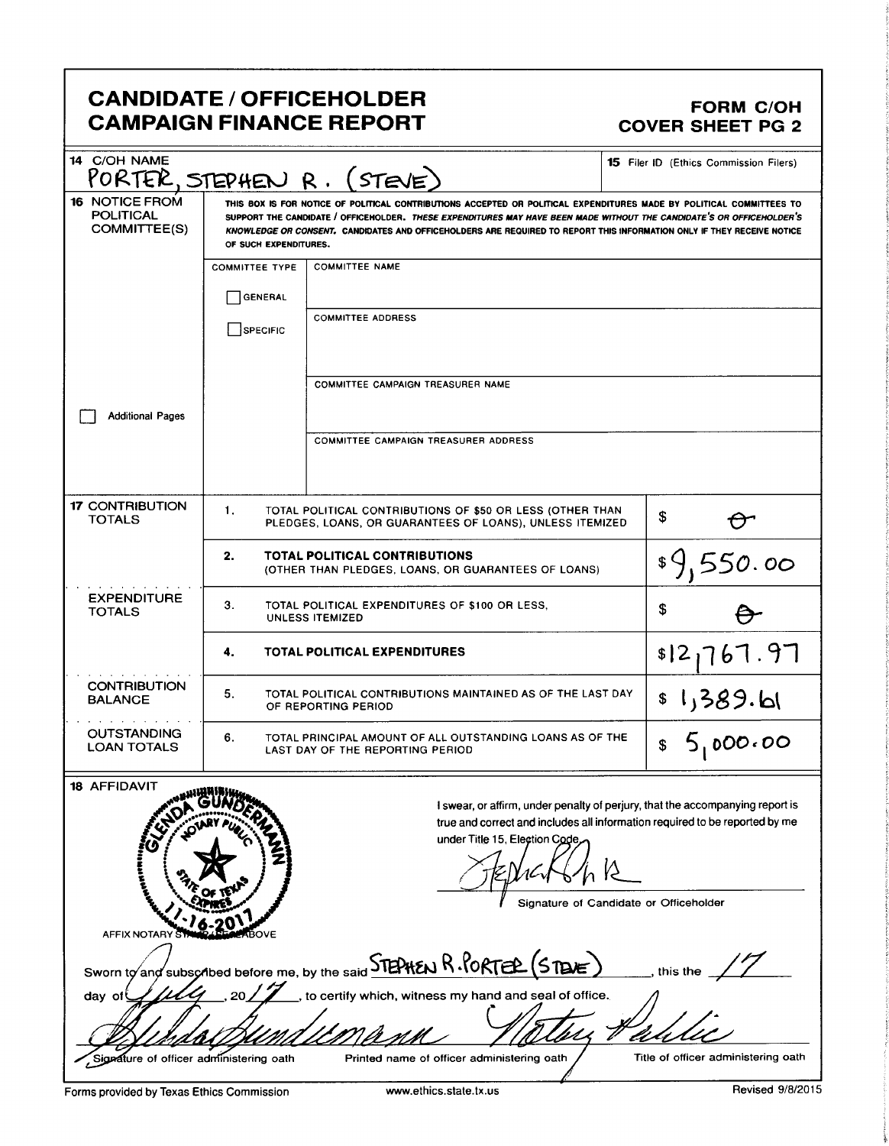## CANDIDATE / OFFICEHOLDER<br>CAMPAIGN FINANCE REPORT CAMPAIGN FORM COVER SHEET PG 2 **CAMPAIGN FINANCE REPORT**

| 14 C/OH NAME                                              |                       | PORTER, STEPHEN R. (STEVE)                                                                                                                                                                                                                                                                                                                                              | <b>15</b> Filer ID (Ethics Commission Filers)                                                                                                                                                          |  |
|-----------------------------------------------------------|-----------------------|-------------------------------------------------------------------------------------------------------------------------------------------------------------------------------------------------------------------------------------------------------------------------------------------------------------------------------------------------------------------------|--------------------------------------------------------------------------------------------------------------------------------------------------------------------------------------------------------|--|
| <b>16 NOTICE FROM</b><br><b>POLITICAL</b><br>COMMITTEE(S) | OF SUCH EXPENDITURES. | THIS BOX IS FOR NOTICE OF POLITICAL CONTRIBUTIONS ACCEPTED OR POLITICAL EXPENDITURES MADE BY POLITICAL COMMITTEES TO<br>SUPPORT THE CANDIDATE / OFFICEHOLDER. THESE EXPENDITURES MAY HAVE BEEN MADE WITHOUT THE CANDIDATE'S OR OFFICEHOLDER'S<br>KNOWLEDGE OR CONSENT. CANDIDATES AND OFFICEHOLDERS ARE REQUIRED TO REPORT THIS INFORMATION ONLY IF THEY RECEIVE NOTICE |                                                                                                                                                                                                        |  |
|                                                           | <b>COMMITTEE TYPE</b> | <b>COMMITTEE NAME</b>                                                                                                                                                                                                                                                                                                                                                   |                                                                                                                                                                                                        |  |
|                                                           | GENERAL               |                                                                                                                                                                                                                                                                                                                                                                         |                                                                                                                                                                                                        |  |
|                                                           | SPECIFIC              | <b>COMMITTEE ADDRESS</b>                                                                                                                                                                                                                                                                                                                                                |                                                                                                                                                                                                        |  |
|                                                           |                       | <b>COMMITTEE CAMPAIGN TREASURER NAME</b>                                                                                                                                                                                                                                                                                                                                |                                                                                                                                                                                                        |  |
| <b>Additional Pages</b>                                   |                       |                                                                                                                                                                                                                                                                                                                                                                         |                                                                                                                                                                                                        |  |
|                                                           |                       | <b>COMMITTEE CAMPAIGN TREASURER ADDRESS</b>                                                                                                                                                                                                                                                                                                                             |                                                                                                                                                                                                        |  |
| <b>17 CONTRIBUTION</b><br><b>TOTALS</b>                   | 1.                    | TOTAL POLITICAL CONTRIBUTIONS OF \$50 OR LESS (OTHER THAN<br>PLEDGES, LOANS, OR GUARANTEES OF LOANS), UNLESS ITEMIZED                                                                                                                                                                                                                                                   | \$                                                                                                                                                                                                     |  |
|                                                           | 2.                    | <b>TOTAL POLITICAL CONTRIBUTIONS</b><br>(OTHER THAN PLEDGES, LOANS, OR GUARANTEES OF LOANS)                                                                                                                                                                                                                                                                             | 550.00                                                                                                                                                                                                 |  |
| <b>EXPENDITURE</b><br><b>TOTALS</b>                       | З.                    | TOTAL POLITICAL EXPENDITURES OF \$100 OR LESS,<br><b>UNLESS ITEMIZED</b>                                                                                                                                                                                                                                                                                                | \$                                                                                                                                                                                                     |  |
|                                                           | 4.                    | <b>TOTAL POLITICAL EXPENDITURES</b>                                                                                                                                                                                                                                                                                                                                     | \$12,767.97                                                                                                                                                                                            |  |
| <b>CONTRIBUTION</b><br><b>BALANCE</b>                     | 5.                    | TOTAL POLITICAL CONTRIBUTIONS MAINTAINED AS OF THE LAST DAY<br>OF REPORTING PERIOD                                                                                                                                                                                                                                                                                      | اما.389 \$ 1                                                                                                                                                                                           |  |
| <b>OUTSTANDING</b><br><b>LOAN TOTALS</b>                  | 6.                    | TOTAL PRINCIPAL AMOUNT OF ALL OUTSTANDING LOANS AS OF THE<br>LAST DAY OF THE REPORTING PERIOD                                                                                                                                                                                                                                                                           | 5,000.00<br>\$                                                                                                                                                                                         |  |
| 18 AFFIDAVIT<br><b>TERRITORY</b><br><b>AFFIX NOTARY</b>   |                       | under Title 15, Election Code,                                                                                                                                                                                                                                                                                                                                          | I swear, or affirm, under penalty of perjury, that the accompanying report is<br>true and correct and includes all information required to be reported by me<br>Signature of Candidate or Officeholder |  |

| Sworn to and subscribed before me, by the said <b>STEPHEN R.PORTER (STENE)</b><br>this the |
|--------------------------------------------------------------------------------------------|
| to certify which, witness my hand and seal of office.<br>20 <sub>2</sub>                   |
| a Assund Hondony                                                                           |

Forms provided by Texas Ethics Commission www.ethics.state.tx.us Revised 9/8/2015

Signature of officer administering oath Printed name of officer administering oath Title of officer administering oath

i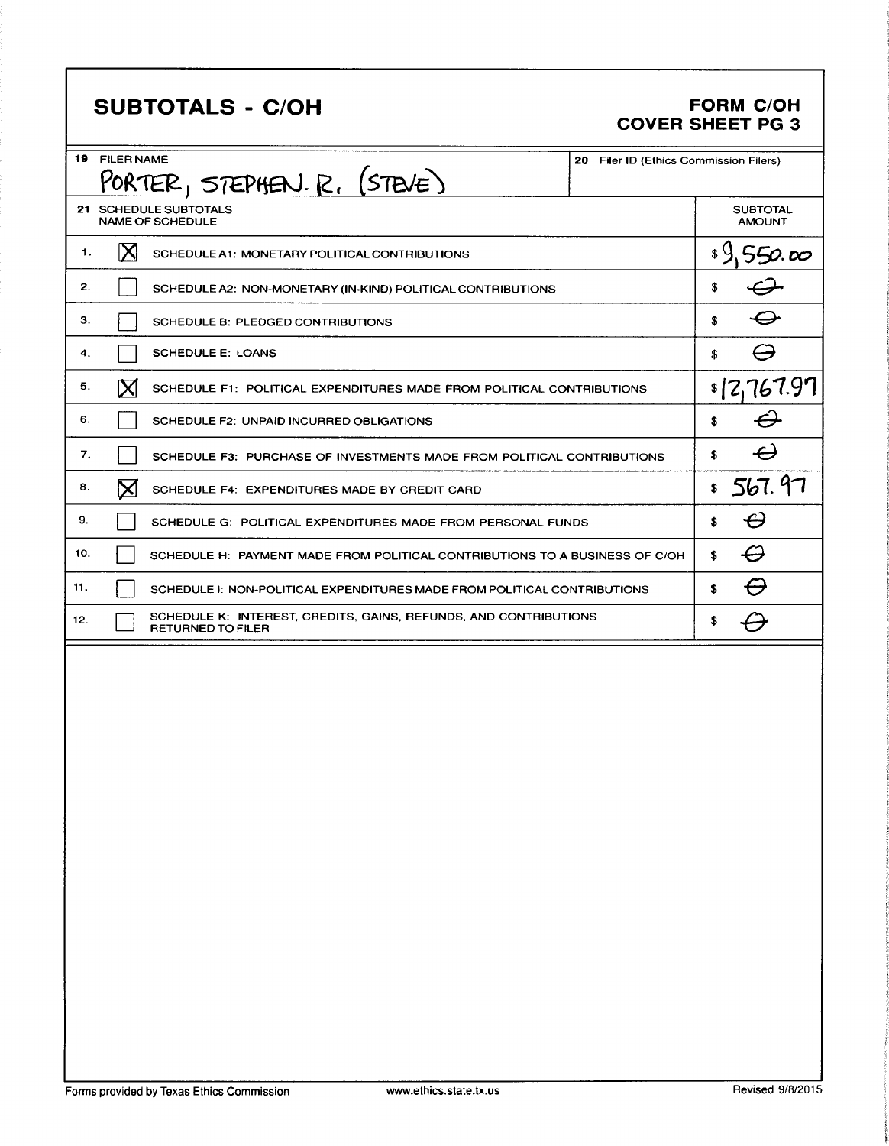# **SUBTOTALS - C/OH**

#### **FORM C/OH COVER SHEET PG 3**

|     | 19 FILER NAME | <u>PORTER, STEPHEN. R. (STEVE)</u>                                                           | 20 Filer ID (Ethics Commission Filers) |                           |                                  |
|-----|---------------|----------------------------------------------------------------------------------------------|----------------------------------------|---------------------------|----------------------------------|
|     |               | 21 SCHEDULE SUBTOTALS<br><b>NAME OF SCHEDULE</b>                                             |                                        |                           | <b>SUBTOTAL</b><br><b>AMOUNT</b> |
| 1.  | ΙX            | SCHEDULE A1: MONETARY POLITICAL CONTRIBUTIONS                                                |                                        | $\mathfrak{g} \mathsf{Q}$ | 550.00                           |
| 2.  |               | SCHEDULE A2: NON-MONETARY (IN-KIND) POLITICAL CONTRIBUTIONS                                  |                                        | \$                        |                                  |
| 3.  |               | <b>SCHEDULE B: PLEDGED CONTRIBUTIONS</b>                                                     |                                        | \$                        |                                  |
| 4.  |               | <b>SCHEDULE E: LOANS</b>                                                                     |                                        | \$                        |                                  |
| 5.  | $\mathbf X$   | SCHEDULE F1: POLITICAL EXPENDITURES MADE FROM POLITICAL CONTRIBUTIONS                        |                                        |                           | s[2,767.97]                      |
| 6.  |               | SCHEDULE F2: UNPAID INCURRED OBLIGATIONS                                                     |                                        | \$                        |                                  |
| 7.  |               | SCHEDULE F3: PURCHASE OF INVESTMENTS MADE FROM POLITICAL CONTRIBUTIONS                       |                                        | \$                        | $\boldsymbol{\varTheta}$         |
| 8.  | ⊠             | SCHEDULE F4: EXPENDITURES MADE BY CREDIT CARD                                                |                                        | \$                        | 567.97                           |
| 9.  |               | SCHEDULE G: POLITICAL EXPENDITURES MADE FROM PERSONAL FUNDS                                  |                                        | S                         | $\boldsymbol{\varTheta}$         |
| 10. |               | SCHEDULE H: PAYMENT MADE FROM POLITICAL CONTRIBUTIONS TO A BUSINESS OF C/OH                  |                                        | s                         | $\varTheta$                      |
| 11. |               | SCHEDULE I: NON-POLITICAL EXPENDITURES MADE FROM POLITICAL CONTRIBUTIONS                     |                                        | S                         | ⊖                                |
| 12. |               | SCHEDULE K: INTEREST, CREDITS, GAINS, REFUNDS, AND CONTRIBUTIONS<br><b>RETURNED TO FILER</b> |                                        | \$                        |                                  |
|     |               |                                                                                              |                                        |                           |                                  |
|     |               |                                                                                              |                                        |                           |                                  |
|     |               |                                                                                              |                                        |                           |                                  |
|     |               |                                                                                              |                                        |                           |                                  |
|     |               |                                                                                              |                                        |                           |                                  |
|     |               |                                                                                              |                                        |                           |                                  |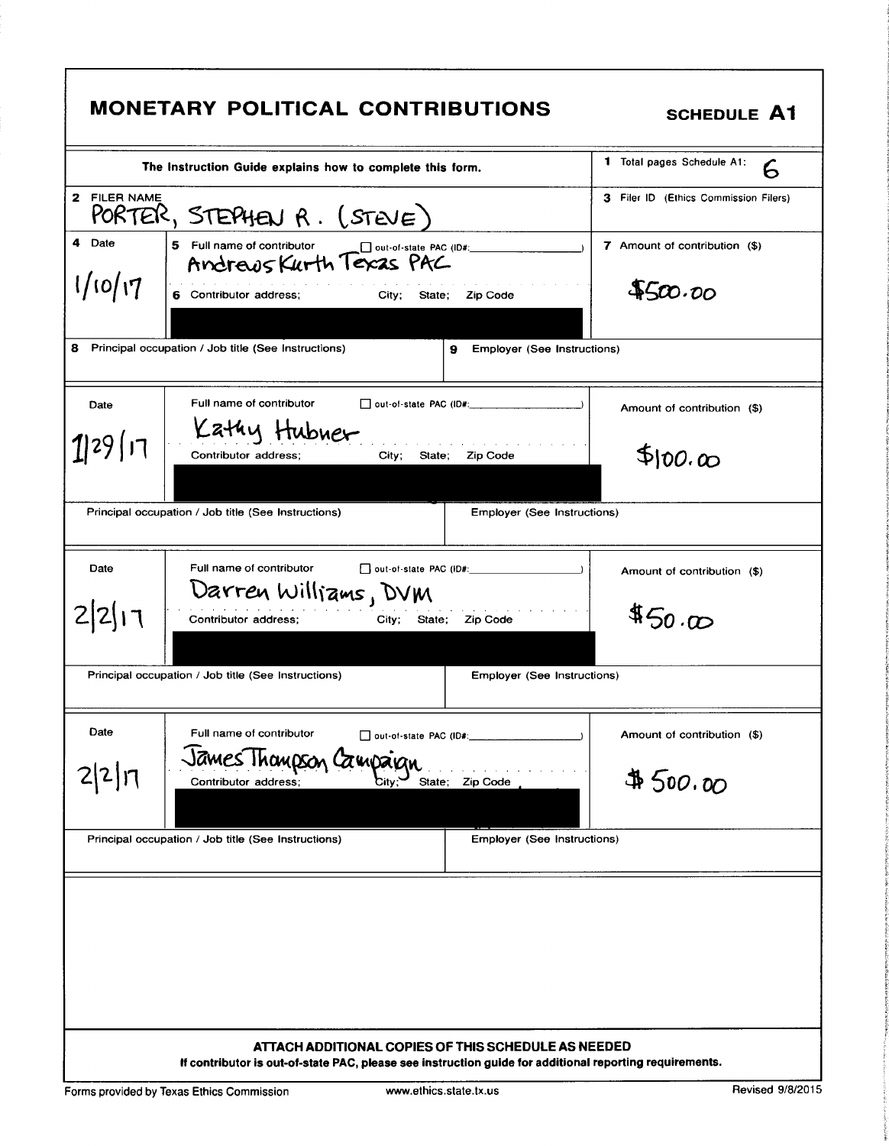| 1 Total pages Schedule A1:<br>6<br>The Instruction Guide explains how to complete this form.     |                                              |
|--------------------------------------------------------------------------------------------------|----------------------------------------------|
| 2 FILER NAME<br>PORTER, STEPHEN $R.$ (STEVE)                                                     | <b>3</b> Filer ID (Ethics Commission Filers) |
| 4 Date<br>5 Full name of contributor<br>out-of-state PAC (ID#:<br>Andrews Kurth Texas PAC        | 7 Amount of contribution (\$)                |
| 1/10/17<br>6 Contributor address;<br>Zip Code<br>City;<br>State;                                 | 4500.00                                      |
| 8 Principal occupation / Job title (See Instructions)<br><b>Employer (See Instructions)</b><br>9 |                                              |
| Full name of contributor<br>$\Box$ out-of-state PAC (ID#: $\Box$<br>Date<br>Kathy Hubner         | Amount of contribution (\$)                  |
| 1 29 17<br>Contributor address;<br>Zip Code<br>City;<br>State;                                   | \$100.00                                     |
| Principal occupation / Job title (See Instructions)<br><b>Employer (See Instructions)</b>        |                                              |
| Full name of contributor<br>out-of-state PAC (ID#: 1999)<br>Date                                 | Amount of contribution (\$)                  |
| Darren Williams, DVM<br>212117<br>Contributor address;<br>City; State; Zip Code                  | 450.00                                       |
| Principal occupation / Job title (See Instructions)<br>Employer (See Instructions)               |                                              |
| Date<br>Full name of contributor<br>out-of-state PAC (ID#:                                       | Amount of contribution (\$)                  |
| James Thompson Campaign<br>2 2 17<br>Zip Code<br>Contributor address;<br>State;<br>City          | $\#$ 500.00                                  |
| Principal occupation / Job title (See Instructions)<br>Employer (See Instructions)               |                                              |
|                                                                                                  |                                              |
|                                                                                                  |                                              |
|                                                                                                  |                                              |
|                                                                                                  |                                              |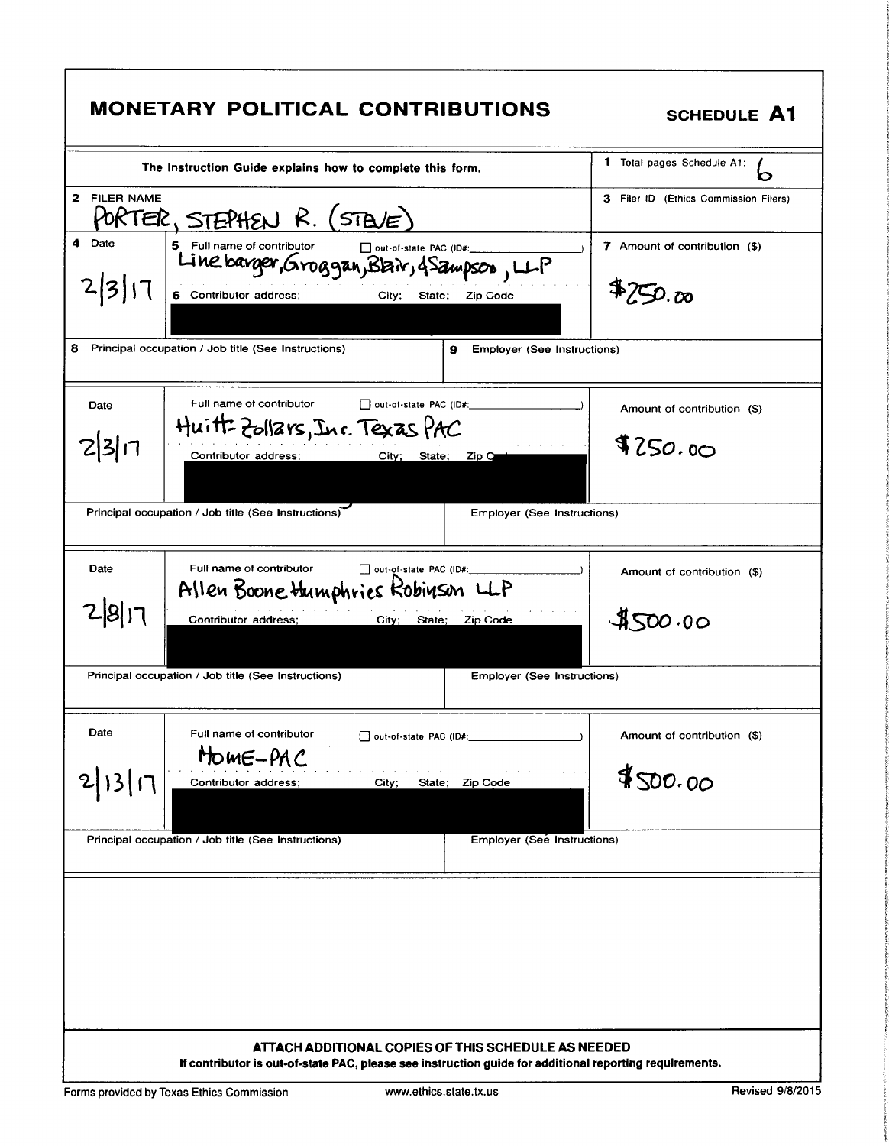|              | <b>MONETARY POLITICAL CONTRIBUTIONS</b>                                                                                                                        | <b>SCHEDULE A1</b>                     |
|--------------|----------------------------------------------------------------------------------------------------------------------------------------------------------------|----------------------------------------|
|              | The Instruction Guide explains how to complete this form.                                                                                                      | <b>1</b> Total pages Schedule A1:<br>n |
| 2 FILER NAME | PORTER, STEPHEN R. (STEVE)                                                                                                                                     | 3 Filer ID (Ethics Commission Filers)  |
| 4 Date       | 5 Full name of contributor<br>out-of-state PAC (ID#:<br>Line barger, Groggan, Blair, 4 Sampson, LLP                                                            | 7 Amount of contribution (\$)          |
| 3            | 6 Contributor address;<br>City;<br>State;<br>Zip Code                                                                                                          | 4750.00                                |
| 8.           | Principal occupation / Job title (See Instructions)<br>9<br><b>Employer (See Instructions)</b>                                                                 |                                        |
| Date         | Full name of contributor<br>$\Box$ out-of-state PAC (ID#:                                                                                                      | Amount of contribution (\$)            |
| 2 3          | Huitt-Zollars, Inc. Texas PAC<br>Contributor address;<br>City; State; Zip C                                                                                    | \$250.00                               |
|              | Principal occupation / Job title (See Instructions)<br><b>Employer (See Instructions)</b>                                                                      |                                        |
| Date         | Full name of contributor<br>out-of-state PAC (ID#:<br>Allen Boone Humphries Kobinson LLP                                                                       | Amount of contribution (\$)            |
| 281-         | Contributor address;<br>City; State;<br>Zip Code                                                                                                               | 4500.00                                |
|              | Principal occupation / Job title (See Instructions)<br><b>Employer (See Instructions)</b>                                                                      |                                        |
| Date         | Full name of contributor<br>out-of-state PAC (ID#:<br>HOME-PAC                                                                                                 | Amount of contribution (\$)            |
|              | Contributor address;<br>State;<br>Zip Code<br>City;                                                                                                            | 4500.00                                |
|              | Principal occupation / Job title (See Instructions)<br>Employer (See Instructions)                                                                             |                                        |
|              |                                                                                                                                                                |                                        |
|              |                                                                                                                                                                |                                        |
|              |                                                                                                                                                                |                                        |
|              | ATTACH ADDITIONAL COPIES OF THIS SCHEDULE AS NEEDED<br>If contributor is out-of-state PAC, please see instruction guide for additional reporting requirements. |                                        |
|              | www.ethics.state.tx.us<br>Forms provided by Texas Ethics Commission                                                                                            | Revised 9/8/2015                       |

S'.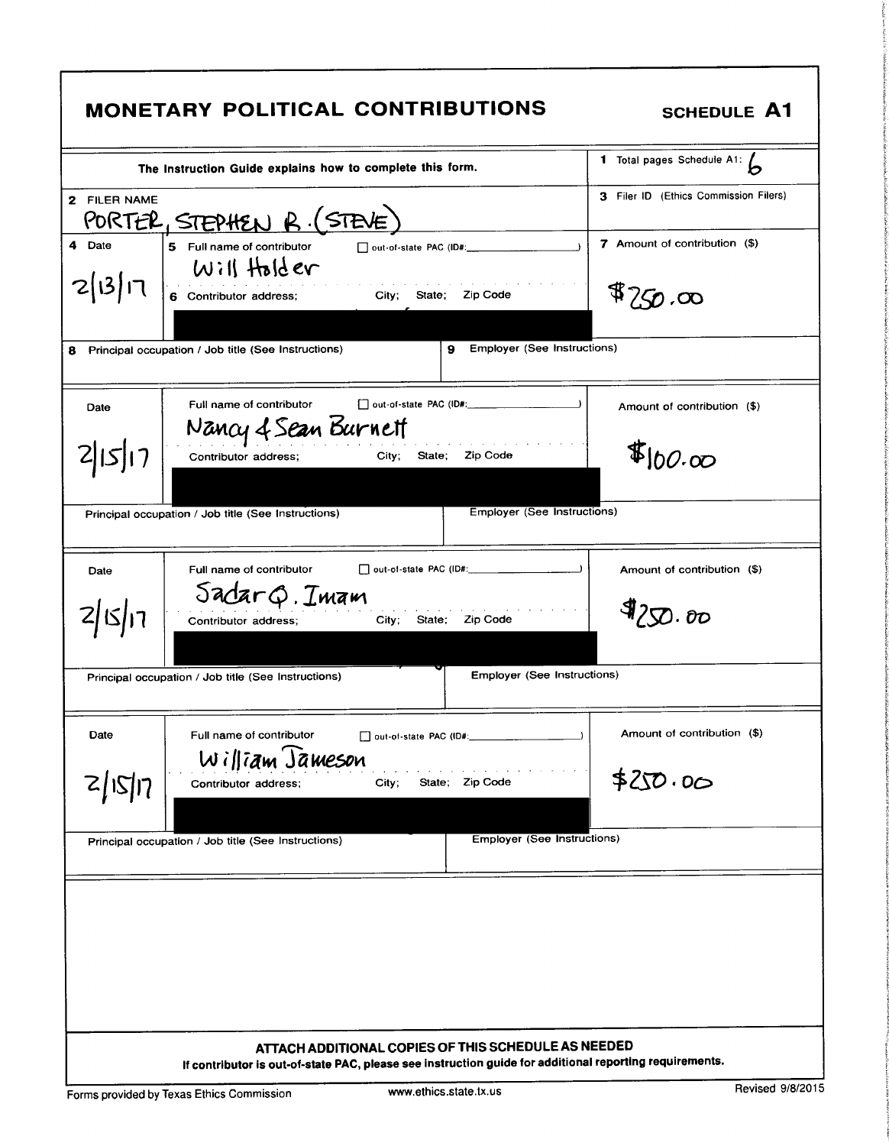|              | <b>MONETARY POLITICAL CONTRIBUTIONS</b>                                                                                                                        | <b>SCHEDULE A1</b>                                                       |
|--------------|----------------------------------------------------------------------------------------------------------------------------------------------------------------|--------------------------------------------------------------------------|
|              | The Instruction Guide explains how to complete this form.                                                                                                      | $\overline{\mathbf{1}}$ Total pages Schedule A1: $\overline{\mathbf{b}}$ |
| 2 FILER NAME | PORTER, STEPHEN R. (STEVE)                                                                                                                                     | 3 Filer ID (Ethics Commission Filers)                                    |
| 4 Date       | 5 Full name of contributor<br>Will Holder                                                                                                                      | <b>7</b> Amount of contribution (\$)                                     |
| 2 13 17      | 6 Contributor address; City; State; Zip Code                                                                                                                   | 4750.00                                                                  |
| 8            | <b>Emplover (See Instructions)</b><br>9<br>Principal occupation / Job title (See Instructions)                                                                 |                                                                          |
| Date         | Full name of contributor<br>Nancy 4 Sean Burnett                                                                                                               | Amount of contribution (\$)                                              |
|              | City; State; Zip Code<br>Contributor address;                                                                                                                  | $I_{100.00}$                                                             |
|              | <b>Employer (See Instructions)</b><br>Principal occupation / Job title (See Instructions)                                                                      |                                                                          |
| Date         | Full name of contributor                                                                                                                                       | Amount of contribution (\$)                                              |
|              | $S$ adar $\phi$ . Imam<br>City; State; Zip Code<br>Contributor address;                                                                                        | $\P$ $20.00$                                                             |
|              | <b>Employer (See Instructions)</b><br>Principal occupation / Job title (See Instructions)                                                                      |                                                                          |
| Date         | Full name of contributor                                                                                                                                       | Amount of contribution (\$)                                              |
| 7/15/17      | William Jameson<br>State; Zip Code<br>City;<br>Contributor address;                                                                                            | 420.00                                                                   |
|              | <b>Employer (See Instructions)</b><br>Principal occupation / Job title (See Instructions)                                                                      |                                                                          |
|              |                                                                                                                                                                |                                                                          |
|              |                                                                                                                                                                |                                                                          |
|              |                                                                                                                                                                |                                                                          |
|              | ATTACH ADDITIONAL COPIES OF THIS SCHEDULE AS NEEDED<br>If contributor is out-of-state PAC, please see instruction guide for additional reporting requirements. |                                                                          |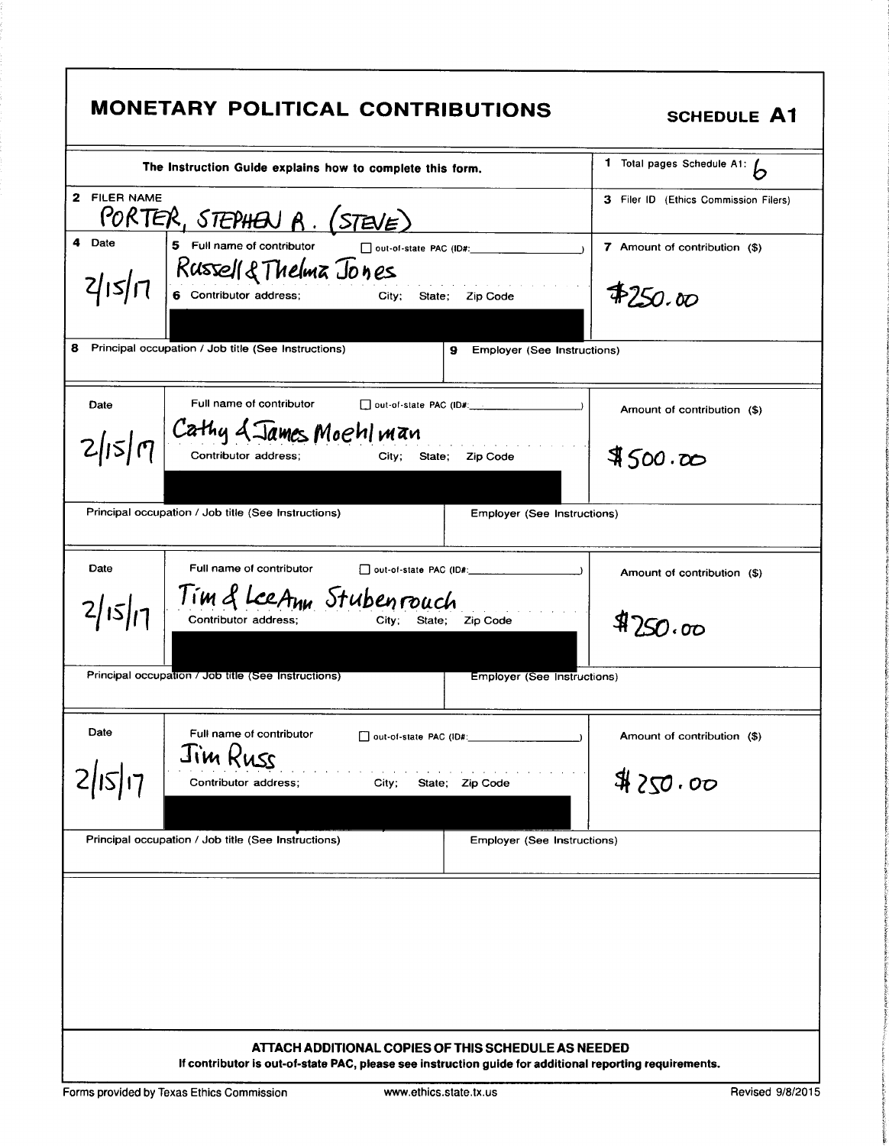|                 | <b>MONETARY POLITICAL CONTRIBUTIONS</b>                                                                                                                        | <b>SCHEDULE A1</b>                               |
|-----------------|----------------------------------------------------------------------------------------------------------------------------------------------------------------|--------------------------------------------------|
|                 | The Instruction Guide explains how to complete this form.                                                                                                      | 1 Total pages Schedule A1: $\overline{\bigcirc}$ |
| 2 FILER NAME    | <u> PORTER, STEPHEN A. (STEVE)</u>                                                                                                                             | 3 Filer ID (Ethics Commission Filers)            |
| 4 Date          | 5 Full name of contributor<br>$\Box$ out-of-state PAC (ID#:<br>$2 15 $ $7$ Russell & Thelma Jones<br><b>City;</b><br>State; Zip Code                           | 7 Amount of contribution (\$)<br>4250.00         |
| 8.              | Principal occupation / Job title (See Instructions)<br>9<br><b>Employer (See Instructions)</b>                                                                 |                                                  |
| Date            | Full name of contributor<br>out-of-state PAC (ID#: $\frac{1}{2}$ $\frac{1}{2}$ $\frac{1}{2}$ $\frac{1}{2}$ $\frac{1}{2}$                                       | Amount of contribution (\$)                      |
|                 | $2 15 \eta $ Cathy & James Moehl man<br>City; State; Zip Code                                                                                                  | 4500.00                                          |
|                 | Principal occupation / Job title (See Instructions)<br><b>Employer (See Instructions)</b>                                                                      |                                                  |
| Date<br>2/15/17 | Full name of contributor<br>Tim & LeeAnn Stubenrouch<br>Contributor address;<br>Zip Code<br>Citv:<br>State:                                                    | Amount of contribution (\$)<br>8750.00           |
|                 | Principal occupation / Job title (See Instructions)<br>Employer (See Instructions)                                                                             |                                                  |
| Date            | Full name of contributor<br>out-of-state PAC (ID#:<br>Jim Russ                                                                                                 | Amount of contribution (\$)                      |
|                 | Contributor address;<br>City;<br>State; Zip Code                                                                                                               | 4250.00                                          |
|                 | Principal occupation / Job title (See Instructions)<br>Employer (See Instructions)                                                                             |                                                  |
|                 |                                                                                                                                                                |                                                  |
|                 | ATTACH ADDITIONAL COPIES OF THIS SCHEDULE AS NEEDED<br>If contributor is out-of-state PAC, please see instruction guide for additional reporting requirements. |                                                  |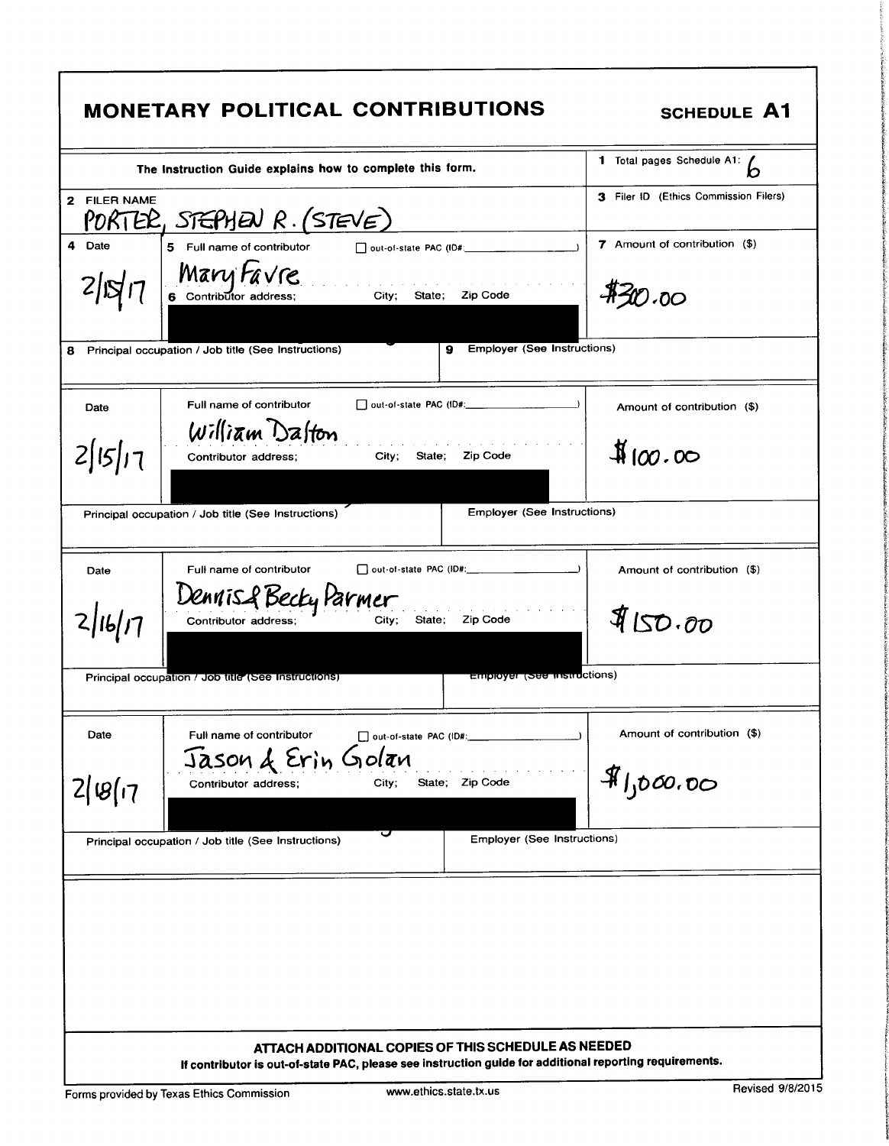| 1 Total pages Schedule A1:<br>The Instruction Guide explains how to complete this form.<br>3 Filer ID (Ethics Commission Filers)<br>7 Amount of contribution (\$)<br>5 Full name of contributor<br>out-of-state PAC (ID#:<br>$\frac{M \alpha V y}{6}$ Cantributor address; City; State; Zip Code<br><b>\$30.00</b><br><b>Employer (See Instructions)</b><br>9<br>□ out-of-state PAC (ID#: 2000)<br>Full name of contributor<br>Amount of contribution (\$)<br>Date<br>William Dalton<br>$\frac{1}{2}$ 100.00<br>City; State;<br><b>Zip Code</b><br>Contributor address;<br><b>Employer (See Instructions)</b><br>Full name of contributor<br>Amount of contribution (\$)<br>Date<br>Dennis & Becky Parmer<br>4150.00<br>16/17<br>Zip Code<br>State;<br>Contributor address;<br>City;<br><b>Employer (See instructions)</b><br>Principal occupation / Job title (See Instructions)<br>Amount of contribution (\$)<br>Full name of contributor<br>Date<br>out-of-state PAC (ID#:<br>Jason & Erin Golan<br>\$1,000,00<br>State; Zip Code<br>City;<br>Contributor address;<br>U<br>Employer (See Instructions)<br>Principal occupation / Job title (See Instructions) |                                                                                                                                                                |  |
|-------------------------------------------------------------------------------------------------------------------------------------------------------------------------------------------------------------------------------------------------------------------------------------------------------------------------------------------------------------------------------------------------------------------------------------------------------------------------------------------------------------------------------------------------------------------------------------------------------------------------------------------------------------------------------------------------------------------------------------------------------------------------------------------------------------------------------------------------------------------------------------------------------------------------------------------------------------------------------------------------------------------------------------------------------------------------------------------------------------------------------------------------------------------|----------------------------------------------------------------------------------------------------------------------------------------------------------------|--|
| 2 FILER NAME<br>PORTER, STEPHEN R. (STEVE)<br>4 Date<br>2 S <br>8 Principal occupation / Job title (See Instructions)<br>2 15 17<br>Principal occupation / Job title (See Instructions)<br>2 8 17                                                                                                                                                                                                                                                                                                                                                                                                                                                                                                                                                                                                                                                                                                                                                                                                                                                                                                                                                                 |                                                                                                                                                                |  |
|                                                                                                                                                                                                                                                                                                                                                                                                                                                                                                                                                                                                                                                                                                                                                                                                                                                                                                                                                                                                                                                                                                                                                                   |                                                                                                                                                                |  |
|                                                                                                                                                                                                                                                                                                                                                                                                                                                                                                                                                                                                                                                                                                                                                                                                                                                                                                                                                                                                                                                                                                                                                                   |                                                                                                                                                                |  |
|                                                                                                                                                                                                                                                                                                                                                                                                                                                                                                                                                                                                                                                                                                                                                                                                                                                                                                                                                                                                                                                                                                                                                                   |                                                                                                                                                                |  |
|                                                                                                                                                                                                                                                                                                                                                                                                                                                                                                                                                                                                                                                                                                                                                                                                                                                                                                                                                                                                                                                                                                                                                                   |                                                                                                                                                                |  |
|                                                                                                                                                                                                                                                                                                                                                                                                                                                                                                                                                                                                                                                                                                                                                                                                                                                                                                                                                                                                                                                                                                                                                                   |                                                                                                                                                                |  |
|                                                                                                                                                                                                                                                                                                                                                                                                                                                                                                                                                                                                                                                                                                                                                                                                                                                                                                                                                                                                                                                                                                                                                                   |                                                                                                                                                                |  |
|                                                                                                                                                                                                                                                                                                                                                                                                                                                                                                                                                                                                                                                                                                                                                                                                                                                                                                                                                                                                                                                                                                                                                                   |                                                                                                                                                                |  |
|                                                                                                                                                                                                                                                                                                                                                                                                                                                                                                                                                                                                                                                                                                                                                                                                                                                                                                                                                                                                                                                                                                                                                                   |                                                                                                                                                                |  |
|                                                                                                                                                                                                                                                                                                                                                                                                                                                                                                                                                                                                                                                                                                                                                                                                                                                                                                                                                                                                                                                                                                                                                                   |                                                                                                                                                                |  |
|                                                                                                                                                                                                                                                                                                                                                                                                                                                                                                                                                                                                                                                                                                                                                                                                                                                                                                                                                                                                                                                                                                                                                                   |                                                                                                                                                                |  |
|                                                                                                                                                                                                                                                                                                                                                                                                                                                                                                                                                                                                                                                                                                                                                                                                                                                                                                                                                                                                                                                                                                                                                                   |                                                                                                                                                                |  |
|                                                                                                                                                                                                                                                                                                                                                                                                                                                                                                                                                                                                                                                                                                                                                                                                                                                                                                                                                                                                                                                                                                                                                                   |                                                                                                                                                                |  |
|                                                                                                                                                                                                                                                                                                                                                                                                                                                                                                                                                                                                                                                                                                                                                                                                                                                                                                                                                                                                                                                                                                                                                                   |                                                                                                                                                                |  |
|                                                                                                                                                                                                                                                                                                                                                                                                                                                                                                                                                                                                                                                                                                                                                                                                                                                                                                                                                                                                                                                                                                                                                                   |                                                                                                                                                                |  |
|                                                                                                                                                                                                                                                                                                                                                                                                                                                                                                                                                                                                                                                                                                                                                                                                                                                                                                                                                                                                                                                                                                                                                                   |                                                                                                                                                                |  |
|                                                                                                                                                                                                                                                                                                                                                                                                                                                                                                                                                                                                                                                                                                                                                                                                                                                                                                                                                                                                                                                                                                                                                                   | ATTACH ADDITIONAL COPIES OF THIS SCHEDULE AS NEEDED<br>If contributor is out-of-state PAC, please see instruction guide for additional reporting requirements. |  |

I

1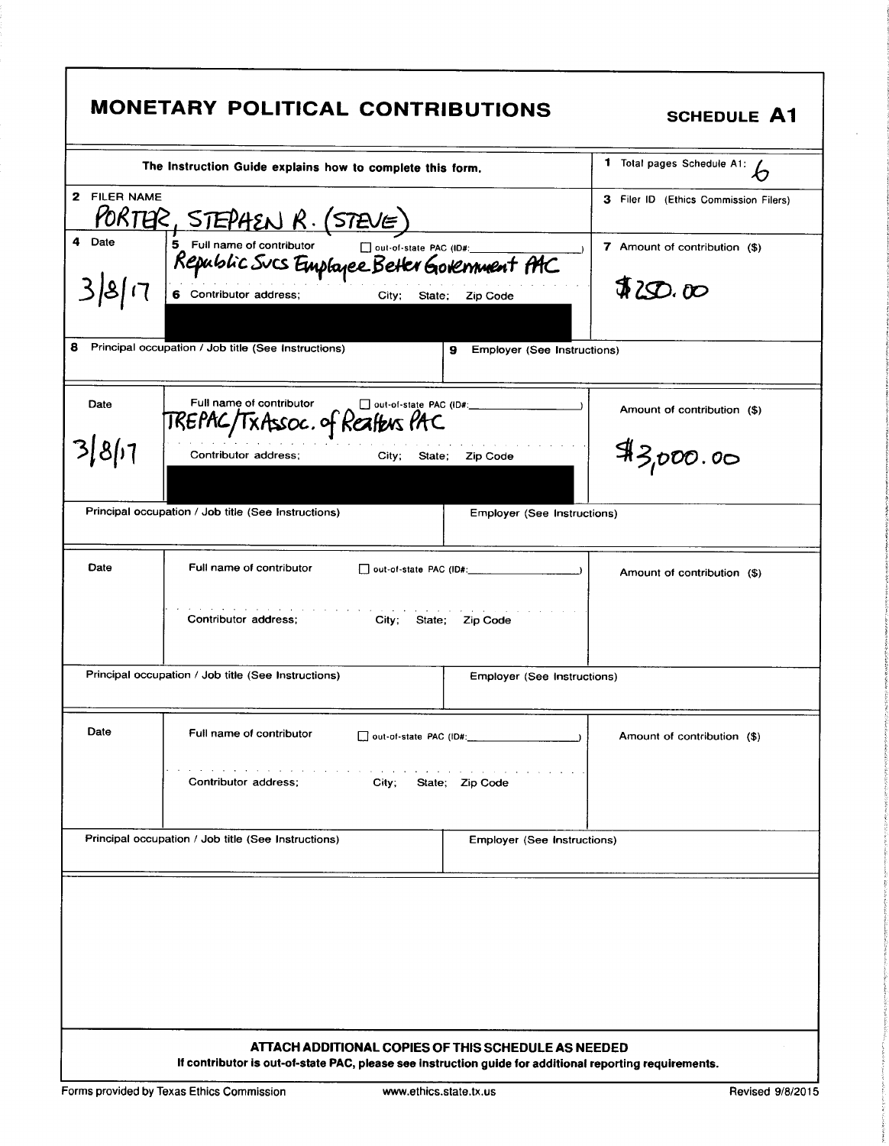|              | The Instruction Guide explains how to complete this form.                                          | 1 Total pages Schedule A1:<br>わ              |
|--------------|----------------------------------------------------------------------------------------------------|----------------------------------------------|
| 2 FILER NAME | <u>PORTER, STEPHEN R. (STEVE)</u>                                                                  | 3 Filer ID (Ethics Commission Filers)        |
| 4 Date       | 5 Full name of contributor Dout-of-state PAC (ID#:<br>Republic Sucs Emplayee Better Government PAC | 7 Amount of contribution (\$)                |
|              | 6 Contributor address;<br>City; State;                                                             | \$30.00<br>Zip Code                          |
|              | Principal occupation / Job title (See Instructions)<br>9                                           | Employer (See Instructions)                  |
| Date         | Full name of contributor<br>out-of-state PAC (ID#:<br>TREPAC/TxAssoc.of Realbus PAC                | Amount of contribution (\$)                  |
| 3 8 1        | Contributor address:<br>City;<br>State:                                                            | 43,000.00<br><b>Zip Code</b>                 |
|              | Principal occupation / Job title (See Instructions)                                                | Employer (See Instructions)                  |
| Date         | Full name of contributor                                                                           | $\rightarrow$<br>Amount of contribution (\$) |
|              | Contributor address:<br>City; State; Zip Code                                                      |                                              |
|              | Principal occupation / Job title (See Instructions)                                                | <b>Employer (See Instructions)</b>           |
| Date         | Full name of contributor<br>out-of-state PAC (ID#:                                                 | Amount of contribution (\$)                  |
|              | Contributor address;<br>City;<br>State; Zip Code                                                   |                                              |
|              | Principal occupation / Job title (See Instructions)                                                | Employer (See Instructions)                  |
|              |                                                                                                    |                                              |
|              |                                                                                                    |                                              |
|              |                                                                                                    |                                              |
|              |                                                                                                    |                                              |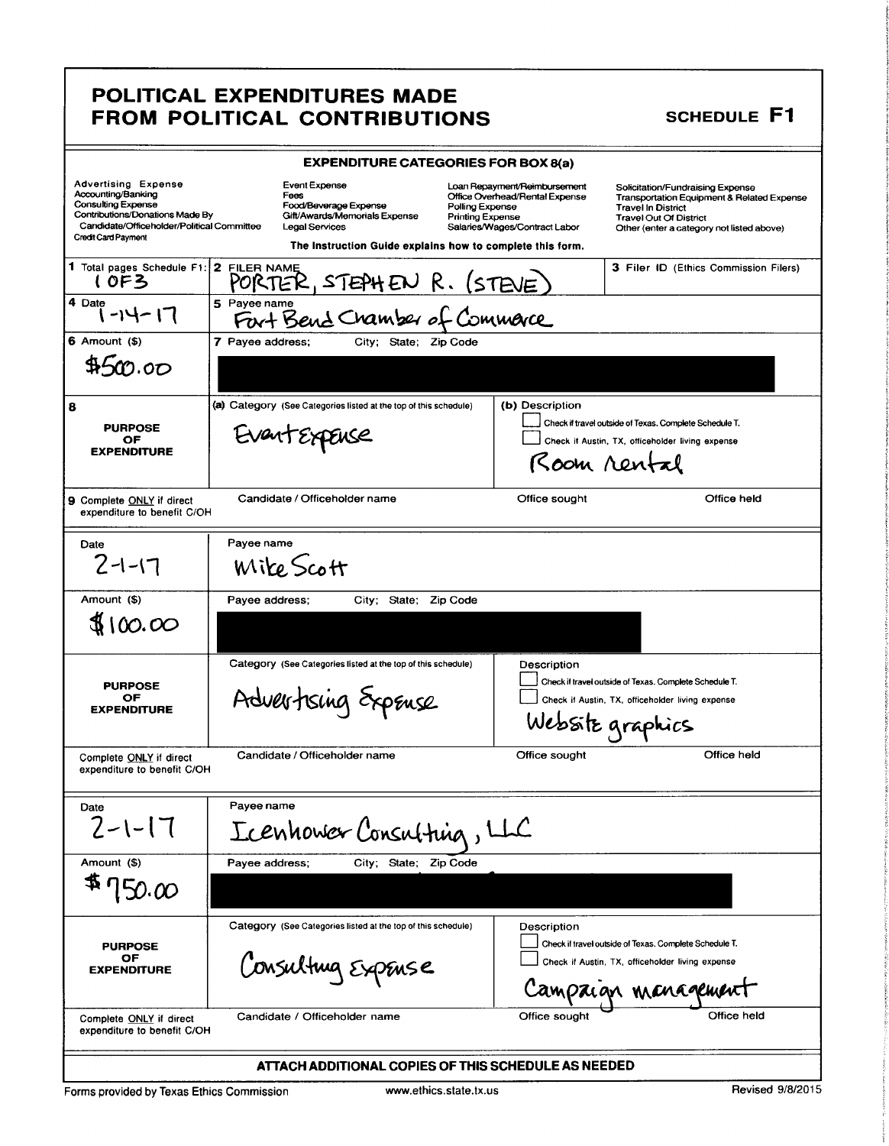### POLITICAL EXPENDITURES MADE FROM POLITICAL CONTRIBUTIONS

### **SCHEDULE F1**

|                                                                                                                                                                                       | <b>EXPENDITURE CATEGORIES FOR BOX 8(a)</b>                                                                                                                                                                          |                                                                                                                                                                                                                                                |                                                       |
|---------------------------------------------------------------------------------------------------------------------------------------------------------------------------------------|---------------------------------------------------------------------------------------------------------------------------------------------------------------------------------------------------------------------|------------------------------------------------------------------------------------------------------------------------------------------------------------------------------------------------------------------------------------------------|-------------------------------------------------------|
| <b>Advertising Expense</b><br>Accounting/Banking<br>Consulting Expense<br>Contributions/Donations Made By<br>Candidate/Officeholder/Political Committee<br><b>Credit Card Payment</b> | Event Expense<br>Fees<br>Food/Beverage Expense<br>Polling Expense<br>Gift/Awards/Memorials Expense<br><b>Printing Expense</b><br><b>Legal Services</b><br>The Instruction Guide explains how to complete this form. | Loan Repayment/Reimbursement<br>Solicitation/Fundraising Expense<br>Office Overhead/Rental Expense<br><b>Travel In District</b><br><b>Travel Out Of District</b><br>Salaries/Wages/Contract Labor<br>Other (enter a category not listed above) | <b>Transportation Equipment &amp; Related Expense</b> |
| 1 Total pages Schedule F1: 2 FILER NAME<br>10F3                                                                                                                                       | PORTER, STEPHEN R. (STEVE)                                                                                                                                                                                          |                                                                                                                                                                                                                                                | <b>3 Filer ID (Ethics Commission Filers)</b>          |
| 4 Date<br>$-14-17$                                                                                                                                                                    | 5 Payee name<br>Fort Bend Chamber of Commerce                                                                                                                                                                       |                                                                                                                                                                                                                                                |                                                       |
| $6$ Amount $($ )                                                                                                                                                                      | 7 Payee address;<br>City; State; Zip Code                                                                                                                                                                           |                                                                                                                                                                                                                                                |                                                       |
| 4500.00                                                                                                                                                                               |                                                                                                                                                                                                                     |                                                                                                                                                                                                                                                |                                                       |
| 8                                                                                                                                                                                     | (a) Category (See Categories listed at the top of this schedule)                                                                                                                                                    | (b) Description                                                                                                                                                                                                                                |                                                       |
| <b>PURPOSE</b><br>OF                                                                                                                                                                  | EventExpEnse                                                                                                                                                                                                        | Check if travel outside of Texas. Complete Schedule T.                                                                                                                                                                                         |                                                       |
| <b>EXPENDITURE</b>                                                                                                                                                                    |                                                                                                                                                                                                                     | Check if Austin, TX, officeholder living expense                                                                                                                                                                                               |                                                       |
|                                                                                                                                                                                       |                                                                                                                                                                                                                     | Room rental                                                                                                                                                                                                                                    |                                                       |
| 9 Complete ONLY if direct<br>expenditure to benefit C/OH                                                                                                                              | Candidate / Officeholder name                                                                                                                                                                                       | Office sought                                                                                                                                                                                                                                  | Office held                                           |
| Date                                                                                                                                                                                  | Payee name                                                                                                                                                                                                          |                                                                                                                                                                                                                                                |                                                       |
| $2 - 1 - 17$                                                                                                                                                                          | <i>Wike</i> Scott                                                                                                                                                                                                   |                                                                                                                                                                                                                                                |                                                       |
| Amount (\$)                                                                                                                                                                           | Payee address;<br>City; State; Zip Code                                                                                                                                                                             |                                                                                                                                                                                                                                                |                                                       |
| \$100.00                                                                                                                                                                              |                                                                                                                                                                                                                     |                                                                                                                                                                                                                                                |                                                       |
|                                                                                                                                                                                       | Category (See Categories listed at the top of this schedule)                                                                                                                                                        | Description<br>Check if travel outside of Texas. Complete Schedule T.                                                                                                                                                                          |                                                       |
| <b>PURPOSE</b><br>ОF                                                                                                                                                                  | Advertising Expense                                                                                                                                                                                                 | Check if Austin, TX, officeholder living expense                                                                                                                                                                                               |                                                       |
| <b>EXPENDITURE</b>                                                                                                                                                                    |                                                                                                                                                                                                                     | Website graphics                                                                                                                                                                                                                               |                                                       |
| Complete ONLY if direct<br>expenditure to benefit C/OH                                                                                                                                | Candidate / Officeholder name                                                                                                                                                                                       | Office sought                                                                                                                                                                                                                                  | Office held                                           |
|                                                                                                                                                                                       |                                                                                                                                                                                                                     |                                                                                                                                                                                                                                                |                                                       |
| Date                                                                                                                                                                                  | Payee name                                                                                                                                                                                                          |                                                                                                                                                                                                                                                |                                                       |
| $2 - 1 - 17$                                                                                                                                                                          | Icenhower Consulting, LLC                                                                                                                                                                                           |                                                                                                                                                                                                                                                |                                                       |
| Amount (\$)                                                                                                                                                                           | Payee address;<br>City; State; Zip Code                                                                                                                                                                             |                                                                                                                                                                                                                                                |                                                       |
| 150.00                                                                                                                                                                                |                                                                                                                                                                                                                     |                                                                                                                                                                                                                                                |                                                       |
|                                                                                                                                                                                       | Category (See Categories listed at the top of this schedule)                                                                                                                                                        | Description                                                                                                                                                                                                                                    |                                                       |
| <b>PURPOSE</b>                                                                                                                                                                        |                                                                                                                                                                                                                     | Check if travel outside of Texas. Complete Schedule T.                                                                                                                                                                                         |                                                       |
| OF<br><b>EXPENDITURE</b>                                                                                                                                                              | Consulting ExpEnse                                                                                                                                                                                                  | Check if Austin, TX, officeholder living expense                                                                                                                                                                                               |                                                       |
|                                                                                                                                                                                       |                                                                                                                                                                                                                     | Campaign management                                                                                                                                                                                                                            |                                                       |
| Complete ONLY if direct<br>expenditure to benefit C/OH                                                                                                                                | Candidate / Officeholder name                                                                                                                                                                                       | Office sought                                                                                                                                                                                                                                  | Office held                                           |
|                                                                                                                                                                                       | ATTACH ADDITIONAL COPIES OF THIS SCHEDULE AS NEEDED                                                                                                                                                                 |                                                                                                                                                                                                                                                |                                                       |

Forms provided by Texas Ethics Commission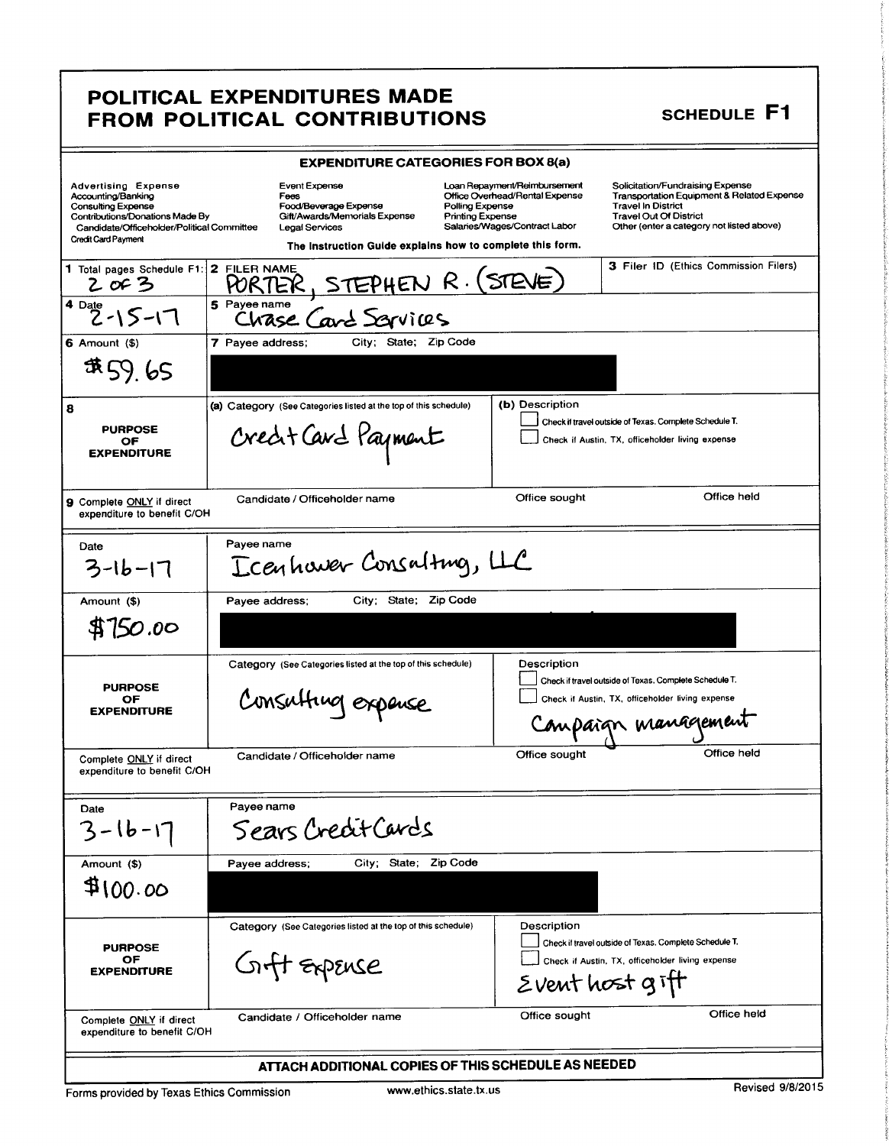### POLITICAL EXPENDITURES MADE FROM POLITICAL CONTRIBUTIONS SCHEDULE F1

|                                                          | <b>EXPENDITURE CATEGORIES FOR BOX 8(a)</b>                                                                                                                                                                                                                              |                                                                                                                                                                                           |
|----------------------------------------------------------|-------------------------------------------------------------------------------------------------------------------------------------------------------------------------------------------------------------------------------------------------------------------------|-------------------------------------------------------------------------------------------------------------------------------------------------------------------------------------------|
|                                                          | Advertising Expense<br>Accounting/Banking<br>Consulting Expense<br>Consulting Expense<br>Contributions/Donations Made By<br>Candidate/Officeholder/Political Committee<br>Legal Services<br>Candidate/Officeholder/Political Committee<br>Lega<br>Food/Beverage Expense | Solicitation/Fundraising Expense<br>Transportation Equipment & Related Expense<br>Travel In District<br>Loan Repayment/Reimbursement<br>Office Overhead/Rental Expense<br>Polling Expense |
| Credit Card Payment                                      | Gift/Awards/Memorials Expense                                                                                                                                                                                                                                           | Printing Expense<br>Salaries/Wages/Contract Labor<br><b>Travel Out Of District</b><br>Other (enter a category not listed above)                                                           |
|                                                          | The Instruction Guide explains how to complete this form.                                                                                                                                                                                                               | 3 Filer ID (Ethics Commission Filers)                                                                                                                                                     |
|                                                          | 1 Total pages Schedule F1: 2 FILER NAME<br>2 of 3 PORTER, STEPHEN R. (STEVE)                                                                                                                                                                                            |                                                                                                                                                                                           |
| $4^{Date}$ 2 - 15 - 17                                   | 5 Payee name<br>Chase Card Sarvices                                                                                                                                                                                                                                     |                                                                                                                                                                                           |
| $6$ Amount $($ \$ $)$                                    | 7 Payee address; City; State; Zip Code                                                                                                                                                                                                                                  |                                                                                                                                                                                           |
| \$59.65                                                  |                                                                                                                                                                                                                                                                         |                                                                                                                                                                                           |
|                                                          | (a) Category (See Categories listed at the top of this schedule) (b) Description                                                                                                                                                                                        | Check if travel outside of Texas. Complete Schedule T.                                                                                                                                    |
| PURPOSE<br>OF<br>EXPENDITURE                             | Creat Card Payment                                                                                                                                                                                                                                                      | Check if Austin, TX, officeholder living expense                                                                                                                                          |
|                                                          |                                                                                                                                                                                                                                                                         |                                                                                                                                                                                           |
| 9 Complete ONLY if direct<br>expenditure to benefit C/OH | Candidate / Officeholder name                                                                                                                                                                                                                                           | Office held<br>Office sought                                                                                                                                                              |
|                                                          |                                                                                                                                                                                                                                                                         |                                                                                                                                                                                           |
| Date<br>$3 - 16 - 17$                                    | Payee name<br>Ecentiaver Consalting, LLC                                                                                                                                                                                                                                |                                                                                                                                                                                           |
|                                                          |                                                                                                                                                                                                                                                                         |                                                                                                                                                                                           |
| Amount (\$)<br>\$750.00                                  | Payee address; City; State; Zip Code                                                                                                                                                                                                                                    |                                                                                                                                                                                           |
|                                                          |                                                                                                                                                                                                                                                                         |                                                                                                                                                                                           |
|                                                          | Category (See Categories listed at the top of this schedule)                                                                                                                                                                                                            | Description<br>Check if travel outside of Texas. Complete Schedule T.                                                                                                                     |
| PURPOSE<br>OF<br>EXPENDITURE                             | Consulting expense                                                                                                                                                                                                                                                      | Check if Austin, TX, officeholder living expense                                                                                                                                          |
|                                                          |                                                                                                                                                                                                                                                                         | Compaign management                                                                                                                                                                       |
| Complete ONLY if direct<br>expenditure to benefit C/OH   | Candidate / Officeholder name                                                                                                                                                                                                                                           | Office held<br>Office sought                                                                                                                                                              |
|                                                          |                                                                                                                                                                                                                                                                         |                                                                                                                                                                                           |
| Date<br>$3 - 16 - 17$                                    | Payee name<br>Sears Credit Cards                                                                                                                                                                                                                                        |                                                                                                                                                                                           |
|                                                          | Payee address; City; State; Zip Code                                                                                                                                                                                                                                    |                                                                                                                                                                                           |
| Amount (\$)<br>\$100.00                                  |                                                                                                                                                                                                                                                                         |                                                                                                                                                                                           |
|                                                          |                                                                                                                                                                                                                                                                         |                                                                                                                                                                                           |
|                                                          | Category (See Categories listed at the top of this schedule)                                                                                                                                                                                                            | Description<br>Check if travel outside of Texas. Complete Schedule T.                                                                                                                     |
| PURPOSE<br>OF<br>EXPENDITURE                             | Gift Expense                                                                                                                                                                                                                                                            | Check if Austin, TX, officeholder living expense                                                                                                                                          |
|                                                          |                                                                                                                                                                                                                                                                         | Eventhost gift                                                                                                                                                                            |
| Complete ONLY if direct<br>expenditure to benefit C/OH   | Candidate / Officeholder name                                                                                                                                                                                                                                           | Office held<br>Office sought                                                                                                                                                              |
|                                                          | ATTACH ADDITIONAL COPIES OF THIS SCHEDULE AS NEEDED                                                                                                                                                                                                                     |                                                                                                                                                                                           |
|                                                          |                                                                                                                                                                                                                                                                         |                                                                                                                                                                                           |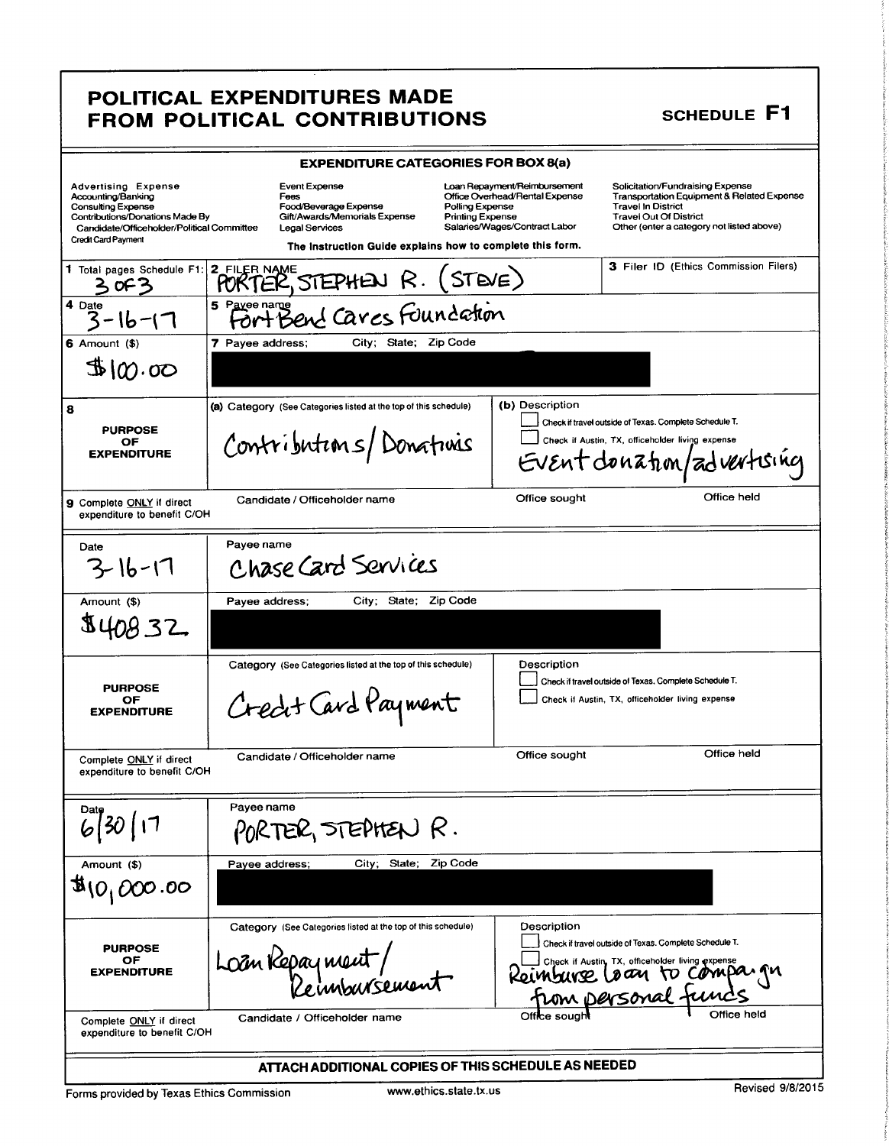### POLITICAL EXPENDITURES MADE FROM POLITICAL CONTRIBUTIONS SCHEDULE F1

|                                                                                                                                                                                | <b>EXPENDITURE CATEGORIES FOR BOX 8(a)</b>                                                                                                                                                                          |                                                                                                                                                                                                                                                                                                         |  |  |  |
|--------------------------------------------------------------------------------------------------------------------------------------------------------------------------------|---------------------------------------------------------------------------------------------------------------------------------------------------------------------------------------------------------------------|---------------------------------------------------------------------------------------------------------------------------------------------------------------------------------------------------------------------------------------------------------------------------------------------------------|--|--|--|
| <b>Advertising Expense</b><br>Accounting/Banking<br>Consulting Expense<br>Contributions/Donations Made By<br>Candidate/Officeholder/Political Committee<br>Credit Card Payment | Event Expense<br>Fees<br>Food/Beverage Expense<br>Polling Expense<br>Gift/Awards/Memorials Expense<br><b>Printing Expense</b><br><b>Legal Services</b><br>The Instruction Guide explains how to complete this form. | Loan Repayment/Reimbursement<br>Solicitation/Fundraising Expense<br><b>Transportation Equipment &amp; Related Expense</b><br>Office Overhead/Rental Expense<br><b>Travel In District</b><br><b>Travel Out Of District</b><br>Salaries/Wages/Contract Labor<br>Other (enter a category not listed above) |  |  |  |
| 1 Total pages Schedule F1:<br>3 OF 3                                                                                                                                           | 2 FILER NAME<br>STE(E)<br>PORTER, STEPHEN R.                                                                                                                                                                        | <b>3 Filer ID (Ethics Commission Filers)</b>                                                                                                                                                                                                                                                            |  |  |  |
| $\sqrt{4}$ Date<br>-16-17                                                                                                                                                      | 5 Pave name Cares Foundation                                                                                                                                                                                        |                                                                                                                                                                                                                                                                                                         |  |  |  |
| $6$ Amount $($ )                                                                                                                                                               | 7 Payee address:<br>City; State; Zip Code                                                                                                                                                                           |                                                                                                                                                                                                                                                                                                         |  |  |  |
| $\mathbb{B}100.00$                                                                                                                                                             |                                                                                                                                                                                                                     |                                                                                                                                                                                                                                                                                                         |  |  |  |
| 8<br><b>PURPOSE</b><br>OF<br><b>EXPENDITURE</b>                                                                                                                                | (a) Category (See Categories listed at the top of this schedule)<br>Contributions/Donations                                                                                                                         | (b) Description<br>Check if travel outside of Texas. Complete Schedule T.<br>Check if Austin, TX, officeholder living expense<br>Event donation/advertising                                                                                                                                             |  |  |  |
| 9 Complete ONLY if direct<br>expenditure to benefit C/OH                                                                                                                       | Candidate / Officeholder name                                                                                                                                                                                       | Office held<br>Office sought                                                                                                                                                                                                                                                                            |  |  |  |
| Date<br>3-16-17                                                                                                                                                                | Payee name<br>Chase Card Services                                                                                                                                                                                   |                                                                                                                                                                                                                                                                                                         |  |  |  |
| Amount (\$)                                                                                                                                                                    | City; State; Zip Code<br>Payee address;                                                                                                                                                                             |                                                                                                                                                                                                                                                                                                         |  |  |  |
| \$40832                                                                                                                                                                        |                                                                                                                                                                                                                     |                                                                                                                                                                                                                                                                                                         |  |  |  |
| <b>PURPOSE</b><br>ОF<br><b>EXPENDITURE</b>                                                                                                                                     | Category (See Categories listed at the top of this schedule)<br>Creat Card Payment                                                                                                                                  | Description<br>Check if travel outside of Texas. Complete Schedule T.<br>Check if Austin, TX, officeholder living expense                                                                                                                                                                               |  |  |  |
| Complete ONLY if direct<br>expenditure to benefit C/OH                                                                                                                         | Candidate / Officeholder name                                                                                                                                                                                       | Office held<br>Office sought                                                                                                                                                                                                                                                                            |  |  |  |
|                                                                                                                                                                                | Payee name<br>PORTER, STEPHEN R.                                                                                                                                                                                    |                                                                                                                                                                                                                                                                                                         |  |  |  |
| Amount (\$)<br>$\mathfrak{B}_{(O_1\,000.000)$                                                                                                                                  | City; State; Zip Code<br>Payee address;                                                                                                                                                                             |                                                                                                                                                                                                                                                                                                         |  |  |  |
| <b>PURPOSE</b><br>ΟF<br><b>EXPENDITURE</b>                                                                                                                                     | Category (See Categories listed at the top of this schedule)<br>Loan Repayment/                                                                                                                                     | Description<br>Check if travel outside of Texas. Complete Schedule T.<br>Check if Austin, TX, officeholder living expense<br>Keinburge (                                                                                                                                                                |  |  |  |
| Complete ONLY if direct<br>expenditure to benefit C/OH                                                                                                                         | Candidate / Officeholder name                                                                                                                                                                                       |                                                                                                                                                                                                                                                                                                         |  |  |  |
|                                                                                                                                                                                | ATTACH ADDITIONAL COPIES OF THIS SCHEDULE AS NEEDED                                                                                                                                                                 |                                                                                                                                                                                                                                                                                                         |  |  |  |
| Forms provided by Texas Ethics Commission                                                                                                                                      | www.ethics.state.tx.us                                                                                                                                                                                              | Revised 9/8/2015                                                                                                                                                                                                                                                                                        |  |  |  |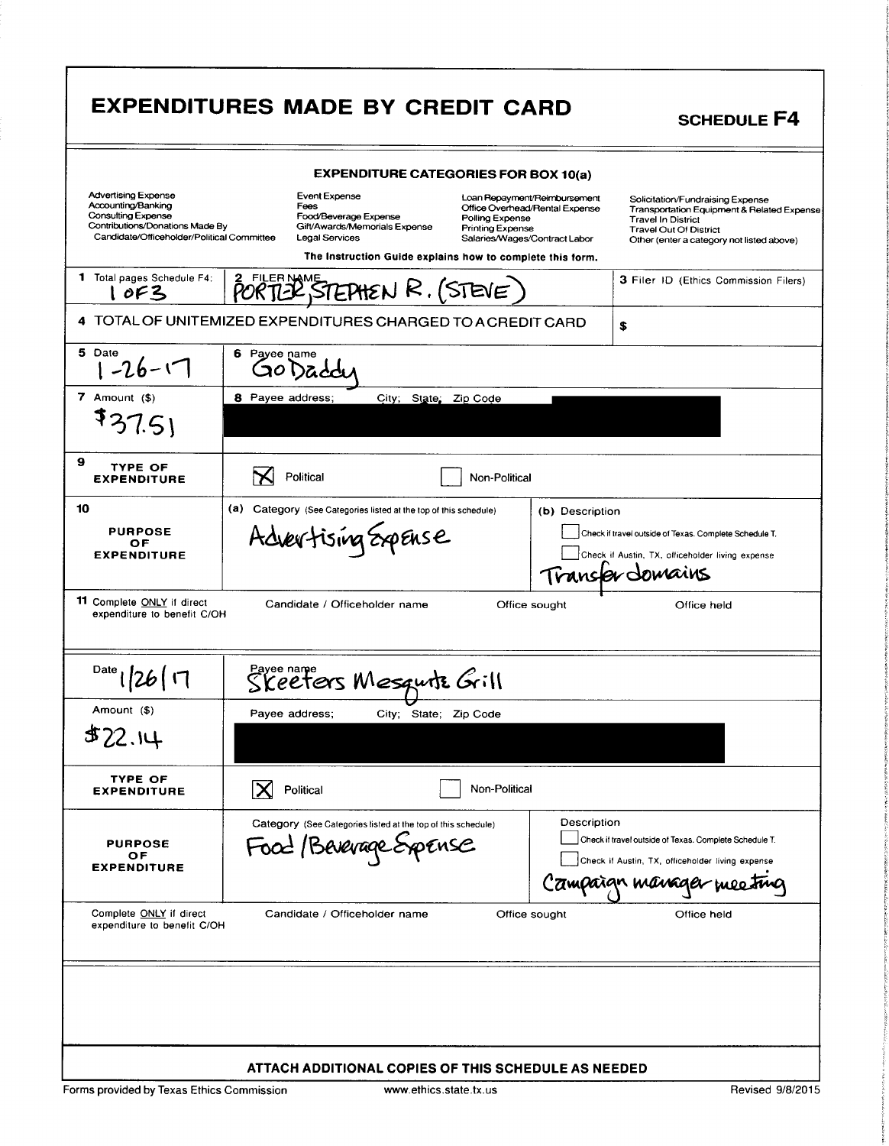|                                                                                                                                                         | <b>EXPENDITURES MADE BY CREDIT CARD</b>                                                                                                                                                                             |                                                                                                 | <b>SCHEDULE F4</b>                                                                                                                                                                        |  |  |
|---------------------------------------------------------------------------------------------------------------------------------------------------------|---------------------------------------------------------------------------------------------------------------------------------------------------------------------------------------------------------------------|-------------------------------------------------------------------------------------------------|-------------------------------------------------------------------------------------------------------------------------------------------------------------------------------------------|--|--|
| <b>EXPENDITURE CATEGORIES FOR BOX 10(a)</b>                                                                                                             |                                                                                                                                                                                                                     |                                                                                                 |                                                                                                                                                                                           |  |  |
| <b>Advertising Expense</b><br>Accounting/Banking<br>Consulting Expense<br>Contributions/Donations Made By<br>Candidate/Officeholder/Political Committee | Event Expense<br>Fees<br>Food/Beverage Expense<br>Polling Expense<br>Gift/Awards/Memorials Expense<br><b>Printing Expense</b><br><b>Legal Services</b><br>The Instruction Guide explains how to complete this form. | Loan Repayment/Reimbursement<br>Office Overhead/Rental Expense<br>Salaries/Wages/Contract Labor | Solicitation/Fundraising Expense<br>Transportation Equipment & Related Expense<br><b>Travel In District</b><br><b>Travel Out Of District</b><br>Other (enter a category not listed above) |  |  |
| 1 Total pages Schedule F4:<br>1 OF3                                                                                                                     | <b>FILER NAME</b><br>$\mathcal{P}$ STEPHEN R. (STEVE)                                                                                                                                                               |                                                                                                 | 3 Filer ID (Ethics Commission Filers)                                                                                                                                                     |  |  |
|                                                                                                                                                         | 4 TOTAL OF UNITEMIZED EXPENDITURES CHARGED TO A CREDIT CARD                                                                                                                                                         |                                                                                                 | \$                                                                                                                                                                                        |  |  |
| 5 Date<br>$1 - 26 - 17$                                                                                                                                 | 6 Pavee name                                                                                                                                                                                                        |                                                                                                 |                                                                                                                                                                                           |  |  |
| $7$ Amount $($ \$)<br>\$37.5                                                                                                                            | 8 Payee address;<br>City; State; Zip Code                                                                                                                                                                           |                                                                                                 |                                                                                                                                                                                           |  |  |
| 9<br><b>TYPE OF</b><br><b>EXPENDITURE</b>                                                                                                               | Political<br>Non-Political                                                                                                                                                                                          |                                                                                                 |                                                                                                                                                                                           |  |  |
| 10<br><b>PURPOSE</b><br>ОF<br><b>EXPENDITURE</b>                                                                                                        | (a)<br>Category (See Categories listed at the top of this schedule)<br>Advertising Expense                                                                                                                          | (b) Description                                                                                 | Check if travel outside of Texas. Complete Schedule T.<br>Check if Austin, TX, officeholder living expense<br>Transfer domains                                                            |  |  |
| 11 Complete ONLY if direct<br>expenditure to benefit C/OH                                                                                               | Candidate / Officeholder name                                                                                                                                                                                       | Office sought                                                                                   | Office held                                                                                                                                                                               |  |  |
| Date                                                                                                                                                    | Skeeters Mesquitz Grill                                                                                                                                                                                             |                                                                                                 |                                                                                                                                                                                           |  |  |
| Amount (\$)                                                                                                                                             | City; State; Zip Code<br>Payee address:                                                                                                                                                                             |                                                                                                 |                                                                                                                                                                                           |  |  |
| \$22.14                                                                                                                                                 |                                                                                                                                                                                                                     |                                                                                                 |                                                                                                                                                                                           |  |  |
| <b>TYPE OF</b><br><b>EXPENDITURE</b>                                                                                                                    | Non-Political<br>Political                                                                                                                                                                                          |                                                                                                 |                                                                                                                                                                                           |  |  |
| <b>PURPOSE</b><br>ОF<br><b>EXPENDITURE</b>                                                                                                              | Category (See Categories listed at the top of this schedule)<br>Food / Beverage Expense                                                                                                                             | Description                                                                                     | Check if travel outside of Texas. Complete Schedule T.<br>Check if Austin, TX, officeholder living expense<br>Campaign manage                                                             |  |  |
| Complete ONLY if direct<br>expenditure to benefit C/OH                                                                                                  | Candidate / Officeholder name                                                                                                                                                                                       | Office sought                                                                                   | Office held                                                                                                                                                                               |  |  |
|                                                                                                                                                         | ATTACH ADDITIONAL COPIES OF THIS SCHEDULE AS NEEDED                                                                                                                                                                 |                                                                                                 |                                                                                                                                                                                           |  |  |
| Forms provided by Texas Ethics Commission                                                                                                               | www.ethics.state.tx.us                                                                                                                                                                                              |                                                                                                 | Revised 9/8/2015                                                                                                                                                                          |  |  |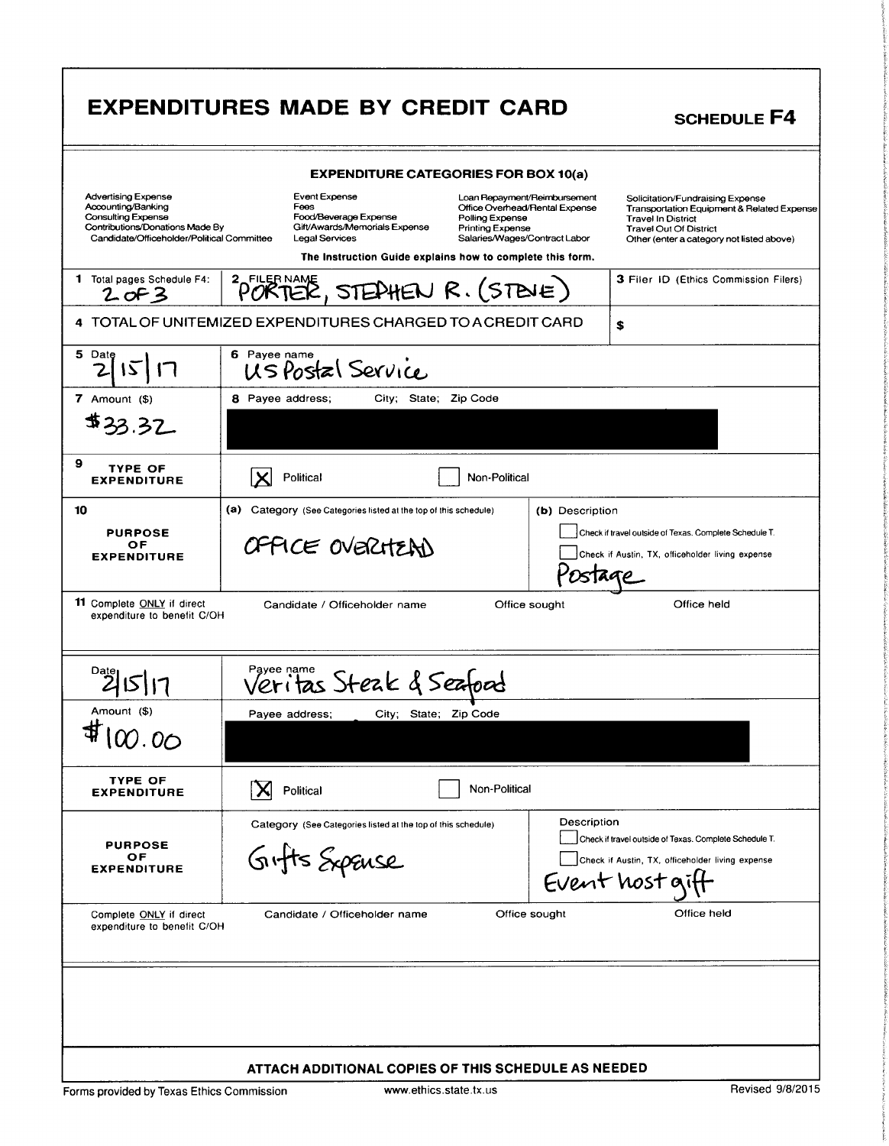| <b>EXPENDITURES MADE BY CREDIT CARD</b><br><b>SCHEDULE F4</b>                                                                                                                                                                                                                                                                                                                                         |  |  |
|-------------------------------------------------------------------------------------------------------------------------------------------------------------------------------------------------------------------------------------------------------------------------------------------------------------------------------------------------------------------------------------------------------|--|--|
|                                                                                                                                                                                                                                                                                                                                                                                                       |  |  |
| <b>EXPENDITURE CATEGORIES FOR BOX 10(a)</b>                                                                                                                                                                                                                                                                                                                                                           |  |  |
| Advertising Expense Event Expense<br>Accounting/Banking Foot Pees<br>Consulting Expense Food/Beverage Expe<br>Contributions/Donations Made By Gift/Awards/Memoria<br>Candidate/Officeholder/Political Committee Legal Services<br>Solicitation/Fundraising Expense<br>Transportation Equipment & Related Expense<br>lverhead/Rental Expense<br>Food/Beverage Expense<br>Gift/Awards/Memorials Expense |  |  |
| r oiling Experise<br>Printing Expense<br>Salaries/Wages/Contract Labor<br>Travel Out Of District<br>Other (enter a category not listed above)<br>The Instruction Guide explains how to complete this form.                                                                                                                                                                                            |  |  |
| 3 Filer ID (Ethics Commission Filers)<br>1 Total pages Schedule F4: PORTER, STEPHEN R. (STEVE)                                                                                                                                                                                                                                                                                                        |  |  |
| 4 TOTAL OF UNITEMIZED EXPENDITURES CHARGED TO A CREDIT CARD                                                                                                                                                                                                                                                                                                                                           |  |  |
| 6 Payee name<br>US Postal Service<br>$\frac{5 \text{ Date}}{2}$ $\sqrt{5}$ $\sqrt{7}$                                                                                                                                                                                                                                                                                                                 |  |  |
| 8 Payee address; City; State; Zip Code                                                                                                                                                                                                                                                                                                                                                                |  |  |
| 7 Amount $($)$<br>$\frac{1}{4}33.32$                                                                                                                                                                                                                                                                                                                                                                  |  |  |
|                                                                                                                                                                                                                                                                                                                                                                                                       |  |  |
| $\sum$ Political<br>Non-Political                                                                                                                                                                                                                                                                                                                                                                     |  |  |
| (a) Category (See Categories listed at the top of this schedule) (b) Description                                                                                                                                                                                                                                                                                                                      |  |  |
| PURPOSE<br>OF<br>EXPENDITURE<br>Check if travel outside of Texas. Complete Schedule T.<br>OFFICE OVERITEAN<br>Check if Austin, TX, officeholder living expense                                                                                                                                                                                                                                        |  |  |
| Postage                                                                                                                                                                                                                                                                                                                                                                                               |  |  |
| <b>11</b> Complete ONLY if direct<br>expenditure to benefit C/OH<br>Office held<br>Candidate / Officeholder name<br>Office sought                                                                                                                                                                                                                                                                     |  |  |
| Veritas Steak & Seafood<br>21517                                                                                                                                                                                                                                                                                                                                                                      |  |  |
| Amount (\$)<br>Payee address; City; State; Zip Code                                                                                                                                                                                                                                                                                                                                                   |  |  |
| $\sharp$ 100.00                                                                                                                                                                                                                                                                                                                                                                                       |  |  |
| <b>TYPE OF<br/>EXPENDITURE</b><br>Non-Political<br>$\mathbf{X}$ Political                                                                                                                                                                                                                                                                                                                             |  |  |
| Description<br>Category (See Categories listed at the top of this schedule)                                                                                                                                                                                                                                                                                                                           |  |  |
| Check if travel outside of Texas. Complete Schedule T.<br>PURPOSE<br>OF<br>EXPENDITURE<br>Gifts Expanse<br>Check if Austin, TX, officeholder living expense                                                                                                                                                                                                                                           |  |  |
| Event host giff                                                                                                                                                                                                                                                                                                                                                                                       |  |  |
| Complete <u>ONLY</u> if direct<br>expenditure to benefit C/OH<br>Candidate / Officeholder name<br>Office sought<br>Office held                                                                                                                                                                                                                                                                        |  |  |
|                                                                                                                                                                                                                                                                                                                                                                                                       |  |  |
|                                                                                                                                                                                                                                                                                                                                                                                                       |  |  |
|                                                                                                                                                                                                                                                                                                                                                                                                       |  |  |
| ATTACH ADDITIONAL COPIES OF THIS SCHEDULE AS NEEDED                                                                                                                                                                                                                                                                                                                                                   |  |  |
| Revised 9/8/2015<br>www.ethics.state.tx.us<br>Forms provided by Texas Ethics Commission                                                                                                                                                                                                                                                                                                               |  |  |